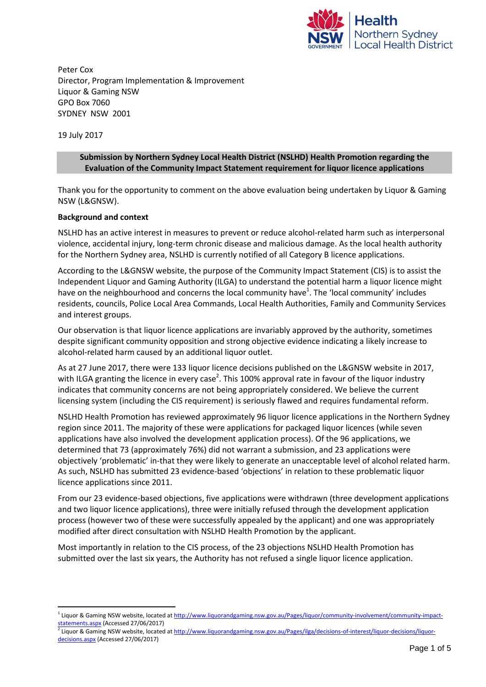

Peter Cox Director, Program Implementation & Improvement Liquor & Gaming NSW GPO Box 7060 SYDNEY NSW 2001

19 July 2017

### **Submission by Northern Sydney Local Health District (NSLHD) Health Promotion regarding the Evaluation of the Community Impact Statement requirement for liquor licence applications**

Thank you for the opportunity to comment on the above evaluation being undertaken by Liquor & Gaming NSW (L&GNSW).

## **Background and context**

NSLHD has an active interest in measures to prevent or reduce alcohol-related harm such as interpersonal violence, accidental injury, long-term chronic disease and malicious damage. As the local health authority for the Northern Sydney area, NSLHD is currently notified of all Category B licence applications.

According to the L&GNSW website, the purpose of the Community Impact Statement (CIS) is to assist the Independent Liquor and Gaming Authority (ILGA) to understand the potential harm a liquor licence might have on the neighbourhood and concerns the local community have<sup>1</sup>. The 'local community' includes residents, councils, Police Local Area Commands, Local Health Authorities, Family and Community Services and interest groups.

Our observation is that liquor licence applications are invariably approved by the authority, sometimes despite significant community opposition and strong objective evidence indicating a likely increase to alcohol-related harm caused by an additional liquor outlet.

As at 27 June 2017, there were 133 liquor licence decisions published on the L&GNSW website in 2017, with ILGA granting the licence in every case<sup>2</sup>. This 100% approval rate in favour of the liquor industry indicates that community concerns are not being appropriately considered. We believe the current licensing system (including the CIS requirement) is seriously flawed and requires fundamental reform.

NSLHD Health Promotion has reviewed approximately 96 liquor licence applications in the Northern Sydney region since 2011. The majority of these were applications for packaged liquor licences (while seven applications have also involved the development application process). Of the 96 applications, we determined that 73 (approximately 76%) did not warrant a submission, and 23 applications were objectively 'problematic' in-that they were likely to generate an unacceptable level of alcohol related harm. As such, NSLHD has submitted 23 evidence-based 'objections' in relation to these problematic liquor licence applications since 2011.

From our 23 evidence-based objections, five applications were withdrawn (three development applications and two liquor licence applications), three were initially refused through the development application process (however two of these were successfully appealed by the applicant) and one was appropriately modified after direct consultation with NSLHD Health Promotion by the applicant.

Most importantly in relation to the CIS process, of the 23 objections NSLHD Health Promotion has submitted over the last six years, the Authority has not refused a single liquor licence application.

<sup>&</sup>lt;sup>1</sup> Liquor & Gaming NSW website, located a[t http://www.liquorandgaming.nsw.gov.au/Pages/liquor/community-involvement/community-impact](http://www.liquorandgaming.nsw.gov.au/Pages/liquor/community-involvement/community-impact-statements.aspx)[statements.aspx](http://www.liquorandgaming.nsw.gov.au/Pages/liquor/community-involvement/community-impact-statements.aspx) (Accessed 27/06/2017)<br><sup>2</sup> Liguor 8, Caming NSM website, legated

Liquor & Gaming NSW website, located a[t http://www.liquorandgaming.nsw.gov.au/Pages/ilga/decisions-of-interest/liquor-decisions/liquor](http://www.liquorandgaming.nsw.gov.au/Pages/ilga/decisions-of-interest/liquor-decisions/liquor-decisions.aspx)[decisions.aspx \(](http://www.liquorandgaming.nsw.gov.au/Pages/ilga/decisions-of-interest/liquor-decisions/liquor-decisions.aspx)Accessed 27/06/2017)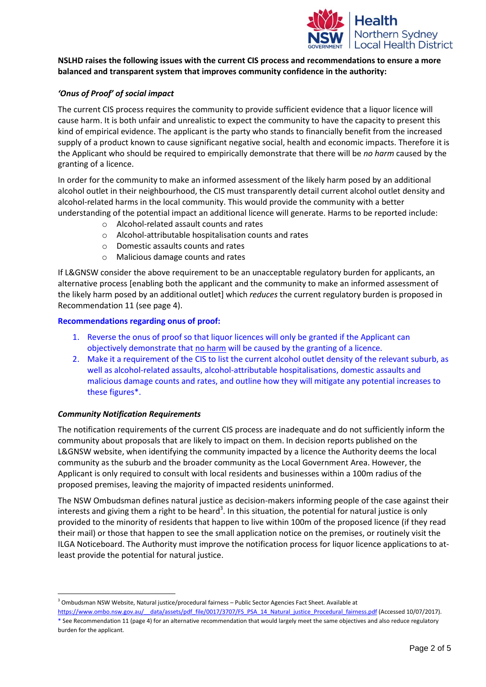

## **NSLHD raises the following issues with the current CIS process and recommendations to ensure a more balanced and transparent system that improves community confidence in the authority:**

## *'Onus of Proof' of social impact*

The current CIS process requires the community to provide sufficient evidence that a liquor licence will cause harm. It is both unfair and unrealistic to expect the community to have the capacity to present this kind of empirical evidence. The applicant is the party who stands to financially benefit from the increased supply of a product known to cause significant negative social, health and economic impacts. Therefore it is the Applicant who should be required to empirically demonstrate that there will be *no harm* caused by the granting of a licence.

In order for the community to make an informed assessment of the likely harm posed by an additional alcohol outlet in their neighbourhood, the CIS must transparently detail current alcohol outlet density and alcohol-related harms in the local community. This would provide the community with a better understanding of the potential impact an additional licence will generate. Harms to be reported include:

- o Alcohol-related assault counts and rates
- o Alcohol-attributable hospitalisation counts and rates
- o Domestic assaults counts and rates
- o Malicious damage counts and rates

If L&GNSW consider the above requirement to be an unacceptable regulatory burden for applicants, an alternative process [enabling both the applicant and the community to make an informed assessment of the likely harm posed by an additional outlet] which *reduces* the current regulatory burden is proposed in Recommendation 11 (see page 4).

#### **Recommendations regarding onus of proof:**

- 1. Reverse the onus of proof so that liquor licences will only be granted if the Applicant can objectively demonstrate that no harm will be caused by the granting of a licence.
- 2. Make it a requirement of the CIS to list the current alcohol outlet density of the relevant suburb, as well as alcohol-related assaults, alcohol-attributable hospitalisations, domestic assaults and malicious damage counts and rates, and outline how they will mitigate any potential increases to these figures\*.

#### *Community Notification Requirements*

The notification requirements of the current CIS process are inadequate and do not sufficiently inform the community about proposals that are likely to impact on them. In decision reports published on the L&GNSW website, when identifying the community impacted by a licence the Authority deems the local community as the suburb and the broader community as the Local Government Area. However, the Applicant is only required to consult with local residents and businesses within a 100m radius of the proposed premises, leaving the majority of impacted residents uninformed.

The NSW Ombudsman defines natural justice as decision-makers informing people of the case against their interests and giving them a right to be heard<sup>3</sup>. In this situation, the potential for natural justice is only provided to the minority of residents that happen to live within 100m of the proposed licence (if they read their mail) or those that happen to see the small application notice on the premises, or routinely visit the ILGA Noticeboard. The Authority must improve the notification process for liquor licence applications to atleast provide the potential for natural justice.

<sup>3</sup> Ombudsman NSW Website, Natural justice/procedural fairness – Public Sector Agencies Fact Sheet. Available at

https://www.ombo.nsw.gov.au/ data/assets/pdf file/0017/3707/FS\_PSA\_14\_Natural\_justice\_Procedural\_fairness.pdf (Accessed 10/07/2017). \* See Recommendation 11 (page 4) for an alternative recommendation that would largely meet the same objectives and also reduce regulatory burden for the applicant.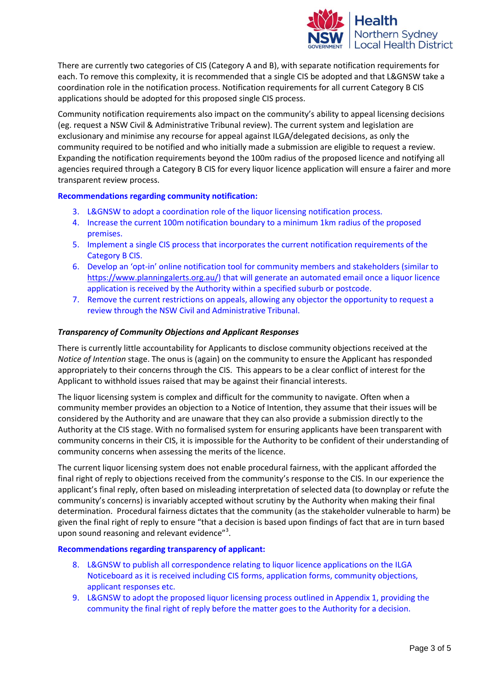

There are currently two categories of CIS (Category A and B), with separate notification requirements for each. To remove this complexity, it is recommended that a single CIS be adopted and that L&GNSW take a coordination role in the notification process. Notification requirements for all current Category B CIS applications should be adopted for this proposed single CIS process.

Community notification requirements also impact on the community's ability to appeal licensing decisions (eg. request a NSW Civil & Administrative Tribunal review). The current system and legislation are exclusionary and minimise any recourse for appeal against ILGA/delegated decisions, as only the community required to be notified and who initially made a submission are eligible to request a review. Expanding the notification requirements beyond the 100m radius of the proposed licence and notifying all agencies required through a Category B CIS for every liquor licence application will ensure a fairer and more transparent review process.

## **Recommendations regarding community notification:**

- 3. L&GNSW to adopt a coordination role of the liquor licensing notification process.
- 4. Increase the current 100m notification boundary to a minimum 1km radius of the proposed premises.
- 5. Implement a single CIS process that incorporates the current notification requirements of the Category B CIS.
- 6. Develop an 'opt-in' online notification tool for community members and stakeholders (similar to [https://www.planningalerts.org.au/\)](https://www.planningalerts.org.au/) that will generate an automated email once a liquor licence application is received by the Authority within a specified suburb or postcode.
- 7. Remove the current restrictions on appeals, allowing any objector the opportunity to request a review through the NSW Civil and Administrative Tribunal.

## *Transparency of Community Objections and Applicant Responses*

There is currently little accountability for Applicants to disclose community objections received at the *Notice of Intention* stage. The onus is (again) on the community to ensure the Applicant has responded appropriately to their concerns through the CIS. This appears to be a clear conflict of interest for the Applicant to withhold issues raised that may be against their financial interests.

The liquor licensing system is complex and difficult for the community to navigate. Often when a community member provides an objection to a Notice of Intention, they assume that their issues will be considered by the Authority and are unaware that they can also provide a submission directly to the Authority at the CIS stage. With no formalised system for ensuring applicants have been transparent with community concerns in their CIS, it is impossible for the Authority to be confident of their understanding of community concerns when assessing the merits of the licence.

The current liquor licensing system does not enable procedural fairness, with the applicant afforded the final right of reply to objections received from the community's response to the CIS. In our experience the applicant's final reply, often based on misleading interpretation of selected data (to downplay or refute the community's concerns) is invariably accepted without scrutiny by the Authority when making their final determination. Procedural fairness dictates that the community (as the stakeholder vulnerable to harm) be given the final right of reply to ensure "that a decision is based upon findings of fact that are in turn based upon sound reasoning and relevant evidence"<sup>3</sup>.

#### **Recommendations regarding transparency of applicant:**

- 8. L&GNSW to publish all correspondence relating to liquor licence applications on the ILGA Noticeboard as it is received including CIS forms, application forms, community objections, applicant responses etc.
- 9. L&GNSW to adopt the proposed liquor licensing process outlined in Appendix 1, providing the community the final right of reply before the matter goes to the Authority for a decision.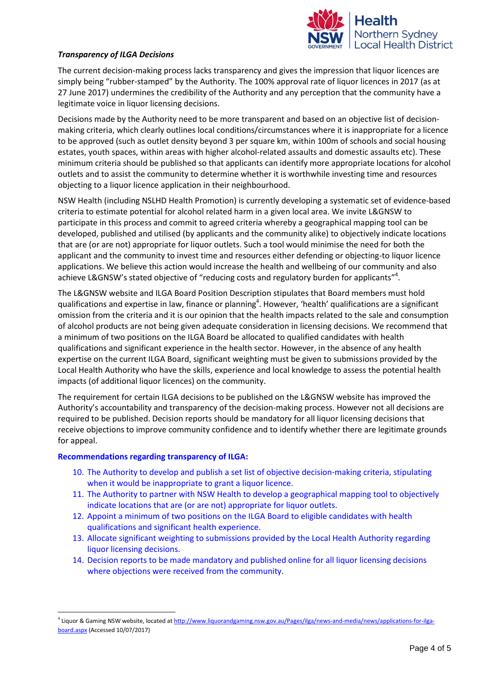

#### *Transparency of ILGA Decisions*

The current decision-making process lacks transparency and gives the impression that liquor licences are simply being "rubber-stamped" by the Authority. The 100% approval rate of liquor licences in 2017 (as at 27 June 2017) undermines the credibility of the Authority and any perception that the community have a legitimate voice in liquor licensing decisions.

Decisions made by the Authority need to be more transparent and based on an objective list of decisionmaking criteria, which clearly outlines local conditions/circumstances where it is inappropriate for a licence to be approved (such as outlet density beyond 3 per square km, within 100m of schools and social housing estates, youth spaces, within areas with higher alcohol-related assaults and domestic assaults etc). These minimum criteria should be published so that applicants can identify more appropriate locations for alcohol outlets and to assist the community to determine whether it is worthwhile investing time and resources objecting to a liquor licence application in their neighbourhood.

NSW Health (including NSLHD Health Promotion) is currently developing a systematic set of evidence-based criteria to estimate potential for alcohol related harm in a given local area. We invite L&GNSW to participate in this process and commit to agreed criteria whereby a geographical mapping tool can be developed, published and utilised (by applicants and the community alike) to objectively indicate locations that are (or are not) appropriate for liquor outlets. Such a tool would minimise the need for both the applicant and the community to invest time and resources either defending or objecting-to liquor licence applications. We believe this action would increase the health and wellbeing of our community and also achieve L&GNSW's stated objective of "reducing costs and regulatory burden for applicants"<sup>4</sup>.

The L&GNSW website and ILGA Board Position Description stipulates that Board members must hold qualifications and expertise in law, finance or planning<sup>4</sup>. However, 'health' qualifications are a significant omission from the criteria and it is our opinion that the health impacts related to the sale and consumption of alcohol products are not being given adequate consideration in licensing decisions. We recommend that a minimum of two positions on the ILGA Board be allocated to qualified candidates with health qualifications and significant experience in the health sector. However, in the absence of any health expertise on the current ILGA Board, significant weighting must be given to submissions provided by the Local Health Authority who have the skills, experience and local knowledge to assess the potential health impacts (of additional liquor licences) on the community.

The requirement for certain ILGA decisions to be published on the L&GNSW website has improved the Authority's accountability and transparency of the decision-making process. However not all decisions are required to be published. Decision reports should be mandatory for all liquor licensing decisions that receive objections to improve community confidence and to identify whether there are legitimate grounds for appeal.

#### **Recommendations regarding transparency of ILGA:**

 $\overline{\phantom{a}}$ 

- 10. The Authority to develop and publish a set list of objective decision-making criteria, stipulating when it would be inappropriate to grant a liquor licence.
- 11. The Authority to partner with NSW Health to develop a geographical mapping tool to objectively indicate locations that are (or are not) appropriate for liquor outlets.
- 12. Appoint a minimum of two positions on the ILGA Board to eligible candidates with health qualifications and significant health experience.
- 13. Allocate significant weighting to submissions provided by the Local Health Authority regarding liquor licensing decisions.
- 14. Decision reports to be made mandatory and published online for all liquor licensing decisions where objections were received from the community.

<sup>&</sup>lt;sup>4</sup> Liquor & Gaming NSW website, located a[t http://www.liquorandgaming.nsw.gov.au/Pages/ilga/news-and-media/news/applications-for-ilga](http://www.liquorandgaming.nsw.gov.au/Pages/ilga/news-and-media/news/applications-for-ilga-board.aspx)[board.aspx](http://www.liquorandgaming.nsw.gov.au/Pages/ilga/news-and-media/news/applications-for-ilga-board.aspx) (Accessed 10/07/2017)